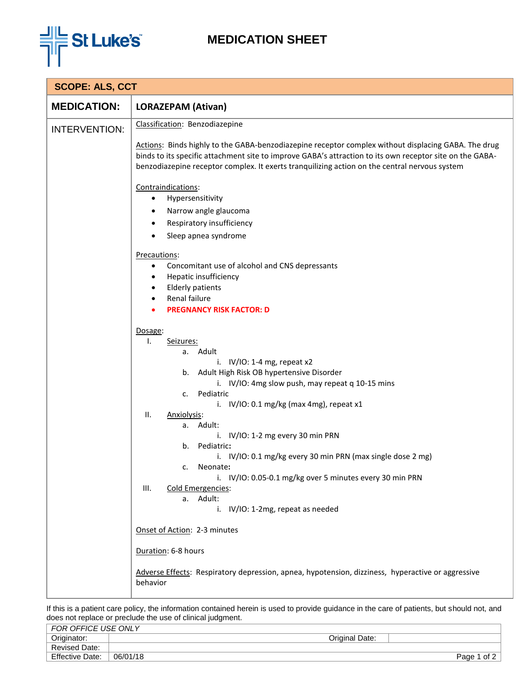

## **MEDICATION SHEET**

| <b>SCOPE: ALS, CCT</b> |                                                                                                                                                                                                                                                                                                                                                                                                                                                                                                                                                                                                                                                       |  |  |  |
|------------------------|-------------------------------------------------------------------------------------------------------------------------------------------------------------------------------------------------------------------------------------------------------------------------------------------------------------------------------------------------------------------------------------------------------------------------------------------------------------------------------------------------------------------------------------------------------------------------------------------------------------------------------------------------------|--|--|--|
| <b>MEDICATION:</b>     | <b>LORAZEPAM (Ativan)</b>                                                                                                                                                                                                                                                                                                                                                                                                                                                                                                                                                                                                                             |  |  |  |
| <b>INTERVENTION:</b>   | Classification: Benzodiazepine<br>Actions: Binds highly to the GABA-benzodiazepine receptor complex without displacing GABA. The drug<br>binds to its specific attachment site to improve GABA's attraction to its own receptor site on the GABA-<br>benzodiazepine receptor complex. It exerts tranquilizing action on the central nervous system<br>Contraindications:<br>Hypersensitivity<br>٠<br>Narrow angle glaucoma<br>Respiratory insufficiency<br>Sleep apnea syndrome<br>Precautions:<br>Concomitant use of alcohol and CNS depressants<br>٠<br>Hepatic insufficiency<br>$\bullet$<br><b>Elderly patients</b><br>Renal failure<br>$\bullet$ |  |  |  |
|                        | <b>PREGNANCY RISK FACTOR: D</b><br>Dosage:<br>Ι.<br>Seizures:<br>a. Adult<br>i. $IV/IO: 1-4 mg$ , repeat x2<br>b. Adult High Risk OB hypertensive Disorder<br>i. IV/IO: 4mg slow push, may repeat q 10-15 mins<br>Pediatric<br>c.<br>i. $IV/IO: 0.1 mg/kg$ (max 4mg), repeat x1<br>ΙΙ.<br>Anxiolysis:<br>a. Adult:<br>i. IV/IO: 1-2 mg every 30 min PRN<br>Pediatric:<br>b.<br>i. IV/IO: 0.1 mg/kg every 30 min PRN (max single dose 2 mg)<br>c. Neonate:<br>i. IV/IO: 0.05-0.1 mg/kg over 5 minutes every 30 min PRN<br>III.<br>Cold Emergencies:<br>a. Adult:<br>i. IV/IO: 1-2mg, repeat as needed                                                  |  |  |  |
|                        | Onset of Action: 2-3 minutes                                                                                                                                                                                                                                                                                                                                                                                                                                                                                                                                                                                                                          |  |  |  |
|                        | Duration: 6-8 hours<br>Adverse Effects: Respiratory depression, apnea, hypotension, dizziness, hyperactive or aggressive<br>behavior                                                                                                                                                                                                                                                                                                                                                                                                                                                                                                                  |  |  |  |

If this is a patient care policy, the information contained herein is used to provide guidance in the care of patients, but should not, and does not replace or preclude the use of clinical judgment.

| FOR OFFICE USE ONLY    |          |                |             |
|------------------------|----------|----------------|-------------|
| Originator:            |          | Original Date: |             |
| <b>Revised Date:</b>   |          |                |             |
| <b>Effective Date:</b> | 06/01/18 |                | Page 1 of 2 |
|                        |          |                |             |